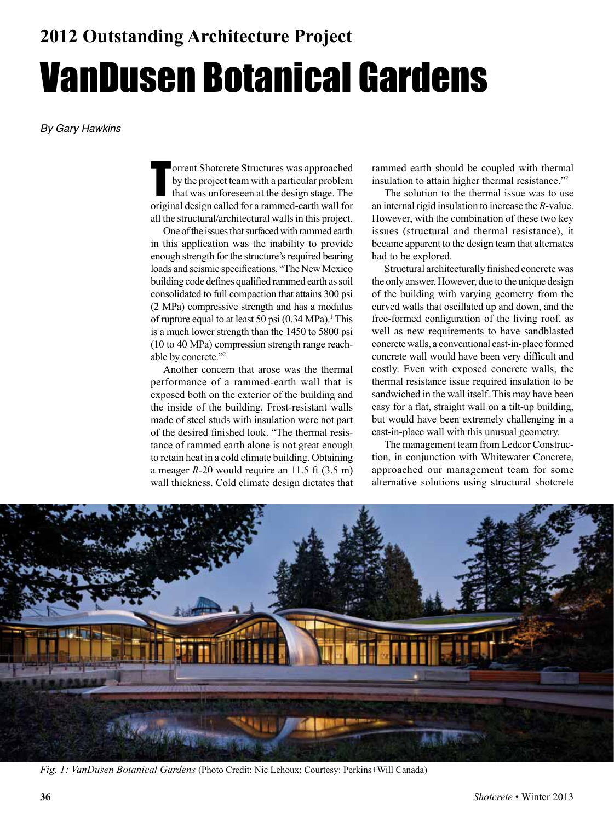*By Gary Hawkins*

Forrent Shotcrete Structures was approached<br>by the project team with a particular problem<br>that was unforeseen at the design stage. The<br>original design called for a rammed-earth wall for orrent Shotcrete Structures was approached by the project team with a particular problem that was unforeseen at the design stage. The all the structural/architectural walls in this project.

One of the issues that surfaced with rammed earth in this application was the inability to provide enough strength for the structure's required bearing loads and seismic specifications. "The New Mexico building code defines qualified rammed earth as soil consolidated to full compaction that attains 300 psi (2 MPa) compressive strength and has a modulus of rupture equal to at least 50 psi  $(0.34 \text{ MPa})$ .<sup>1</sup> This is a much lower strength than the 1450 to 5800 psi (10 to 40 MPa) compression strength range reachable by concrete."2

Another concern that arose was the thermal performance of a rammed-earth wall that is exposed both on the exterior of the building and the inside of the building. Frost-resistant walls made of steel studs with insulation were not part of the desired finished look. "The thermal resistance of rammed earth alone is not great enough to retain heat in a cold climate building. Obtaining a meager *R*-20 would require an 11.5 ft (3.5 m) wall thickness. Cold climate design dictates that rammed earth should be coupled with thermal insulation to attain higher thermal resistance."2

The solution to the thermal issue was to use an internal rigid insulation to increase the *R*-value. However, with the combination of these two key issues (structural and thermal resistance), it became apparent to the design team that alternates had to be explored.

Structural architecturally finished concrete was the only answer. However, due to the unique design of the building with varying geometry from the curved walls that oscillated up and down, and the free-formed configuration of the living roof, as well as new requirements to have sandblasted concrete walls, a conventional cast-in-place formed concrete wall would have been very difficult and costly. Even with exposed concrete walls, the thermal resistance issue required insulation to be sandwiched in the wall itself. This may have been easy for a flat, straight wall on a tilt-up building, but would have been extremely challenging in a cast-in-place wall with this unusual geometry.

The management team from Ledcor Construction, in conjunction with Whitewater Concrete, approached our management team for some alternative solutions using structural shotcrete



*Fig. 1: VanDusen Botanical Gardens* (Photo Credit: Nic Lehoux; Courtesy: Perkins+Will Canada)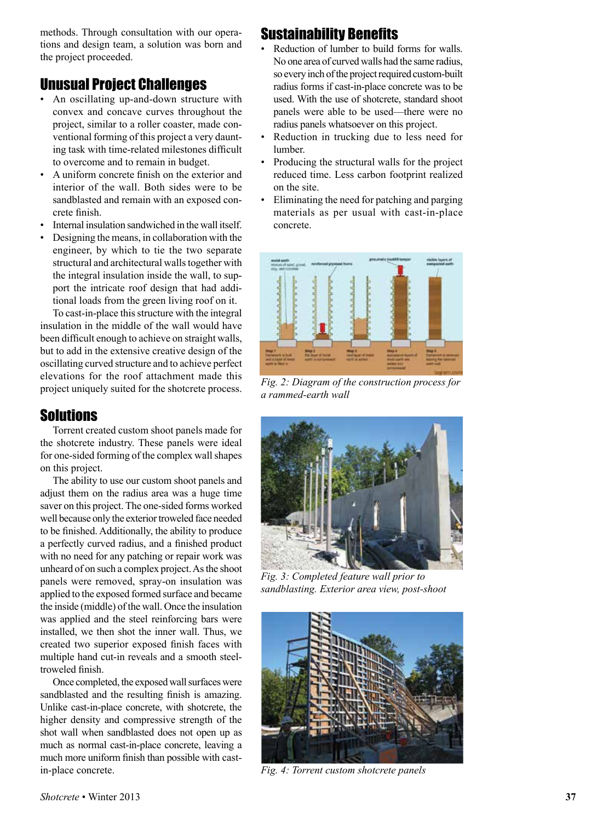methods. Through consultation with our opera tions and design team, a solution was born and the project proceeded.

# Unusual Project Challenges

- An oscillating up-and-down structure with convex and concave curves throughout the project, similar to a roller coaster, made con ventional forming of this project a very daunt ing task with time-related milestones difficult to overcome and to remain in budget.
- A uniform concrete finish on the exterior and interior of the wall. Both sides were to be sandblasted and remain with an exposed con crete finish.
- Internal insulation sandwiched in the wall itself.
- Designing the means, in collaboration with the engineer, by which to tie the two separate structural and architectural walls together with the integral insulation inside the wall, to sup port the intricate roof design that had addi tional loads from the green living roof on it.

To cast-in-place this structure with the integral insulation in the middle of the wall would have been difficult enough to achieve on straight walls, but to add in the extensive creative design of the oscillating curved structure and to achieve perfect elevations for the roof attachment made this project uniquely suited for the shotcrete process.

# Solutions

Torrent created custom shoot panels made for the shotcrete industry. These panels were ideal for one-sided forming of the complex wall shapes on this project.

The ability to use our custom shoot panels and adjust them on the radius area was a huge time saver on this project. The one-sided forms worked well because only the exterior troweled face needed to be finished. Additionally, the ability to produce a perfectly curved radius, and a finished product with no need for any patching or repair work was unheard of on such a complex project. As the shoot panels were removed, spray-on insulation was applied to the exposed formed surface and became the inside (middle) of the wall. Once the insulation was applied and the steel reinforcing bars were installed, we then shot the inner wall. Thus, we created two superior exposed finish faces with multiple hand cut-in reveals and a smooth steeltroweled finish.

Once completed, the exposed wall surfaces were sandblasted and the resulting finish is amazing. Unlike cast-in-place concrete, with shotcrete, the higher density and compressive strength of the shot wall when sandblasted does not open up as much as normal cast-in-place concrete, leaving a much more uniform finish than possible with castin-place concrete.

## Sustainability Benefits

- Reduction of lumber to build forms for walls. No one area of curved walls had the same radius, so every inch of the project required custom-built radius forms if cast-in-place concrete was to be used. With the use of shotcrete, standard shoot panels were able to be used—there were no radius panels whatsoever on this project.
- Reduction in trucking due to less need for lumber.
- Producing the structural walls for the project reduced time. Less carbon footprint realized on the site.
- Eliminating the need for patching and parging materials as per usual with cast-in-place concrete.



*Fig. 2: Diagram of the construction process for a rammed-earth wall*



*Fig. 3: Completed feature wall prior to sandblasting. Exterior area view, post-shoot*



*Fig. 4: Torrent custom shotcrete panels*